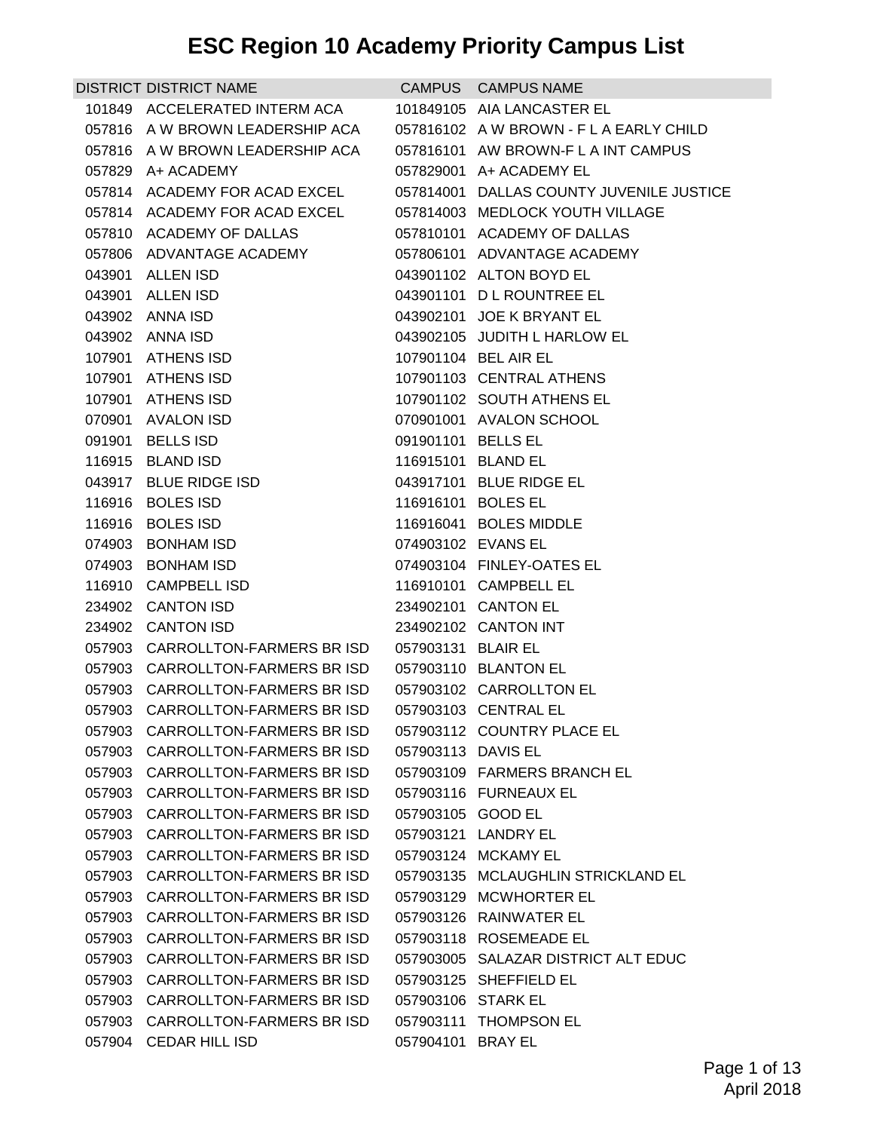| DISTRICT DISTRICT NAME                                  |                    | CAMPUS CAMPUS NAME                       |
|---------------------------------------------------------|--------------------|------------------------------------------|
| 101849 ACCELERATED INTERM ACA                           |                    | 101849105 AIA LANCASTER EL               |
| 057816 A W BROWN LEADERSHIP ACA                         |                    | 057816102 A W BROWN - F L A EARLY CHILD  |
| 057816 A W BROWN LEADERSHIP ACA                         |                    | 057816101 AW BROWN-FLAINT CAMPUS         |
| 057829 A+ ACADEMY                                       |                    | 057829001 A+ ACADEMY EL                  |
| 057814 ACADEMY FOR ACAD EXCEL                           |                    | 057814001 DALLAS COUNTY JUVENILE JUSTICE |
| 057814 ACADEMY FOR ACAD EXCEL                           |                    | 057814003 MEDLOCK YOUTH VILLAGE          |
| 057810 ACADEMY OF DALLAS                                |                    | 057810101 ACADEMY OF DALLAS              |
| 057806 ADVANTAGE ACADEMY                                |                    | 057806101 ADVANTAGE ACADEMY              |
| 043901 ALLEN ISD                                        |                    | 043901102 ALTON BOYD EL                  |
| 043901 ALLEN ISD                                        |                    | 043901101 DL ROUNTREE EL                 |
| 043902 ANNA ISD                                         |                    | 043902101 JOE K BRYANT EL                |
| 043902 ANNA ISD                                         |                    | 043902105 JUDITH L HARLOW EL             |
| 107901 ATHENS ISD                                       |                    | 107901104 BEL AIR EL                     |
| 107901 ATHENS ISD                                       |                    | 107901103 CENTRAL ATHENS                 |
| 107901 ATHENS ISD                                       |                    | 107901102 SOUTH ATHENS EL                |
| 070901 AVALON ISD                                       |                    | 070901001 AVALON SCHOOL                  |
| 091901 BELLS ISD                                        | 091901101 BELLS EL |                                          |
| 116915 BLAND ISD                                        | 116915101 BLAND EL |                                          |
| 043917 BLUE RIDGE ISD                                   |                    | 043917101 BLUE RIDGE EL                  |
| 116916 BOLES ISD<br>116916 BOLES ISD                    | 116916101 BOLES EL | 116916041 BOLES MIDDLE                   |
| 074903 BONHAM ISD                                       | 074903102 EVANS EL |                                          |
| 074903 BONHAM ISD                                       |                    | 074903104 FINLEY-OATES EL                |
| 116910 CAMPBELL ISD                                     |                    | 116910101 CAMPBELL EL                    |
| 234902 CANTON ISD                                       |                    | 234902101 CANTON EL                      |
| 234902 CANTON ISD                                       |                    | 234902102 CANTON INT                     |
| 057903 CARROLLTON-FARMERS BR ISD                        | 057903131 BLAIR EL |                                          |
| 057903 CARROLLTON-FARMERS BR ISD                        |                    | 057903110 BLANTON EL                     |
| 057903 CARROLLTON-FARMERS BR ISD                        |                    | 057903102 CARROLLTON EL                  |
| 057903 CARROLLTON-FARMERS BR ISD   057903103 CENTRAL EL |                    |                                          |
| 057903 CARROLLTON-FARMERS BR ISD                        |                    | 057903112 COUNTRY PLACE EL               |
| 057903 CARROLLTON-FARMERS BR ISD                        | 057903113 DAVIS EL |                                          |
| 057903 CARROLLTON-FARMERS BR ISD                        |                    | 057903109 FARMERS BRANCH EL              |
| 057903 CARROLLTON-FARMERS BRISD                         |                    | 057903116 FURNEAUX EL                    |
| 057903 CARROLLTON-FARMERS BR ISD                        | 057903105 GOOD EL  |                                          |
| 057903 CARROLLTON-FARMERS BR ISD                        |                    | 057903121 LANDRY EL                      |
| 057903 CARROLLTON-FARMERS BR ISD                        |                    | 057903124 MCKAMY EL                      |
| 057903 CARROLLTON-FARMERS BR ISD                        |                    | 057903135 MCLAUGHLIN STRICKLAND EL       |
| 057903 CARROLLTON-FARMERS BR ISD                        |                    | 057903129 MCWHORTER EL                   |
| 057903 CARROLLTON-FARMERS BR ISD                        |                    | 057903126 RAINWATER EL                   |
| 057903 CARROLLTON-FARMERS BR ISD                        |                    | 057903118 ROSEMEADE EL                   |
| 057903 CARROLLTON-FARMERS BR ISD                        |                    | 057903005 SALAZAR DISTRICT ALT EDUC      |
| 057903 CARROLLTON-FARMERS BR ISD                        |                    | 057903125 SHEFFIELD EL                   |
| 057903 CARROLLTON-FARMERS BR ISD                        | 057903106 STARK EL |                                          |
| 057903 CARROLLTON-FARMERS BR ISD                        |                    | 057903111 THOMPSON EL                    |
| 057904 CEDAR HILL ISD                                   | 057904101 BRAY EL  |                                          |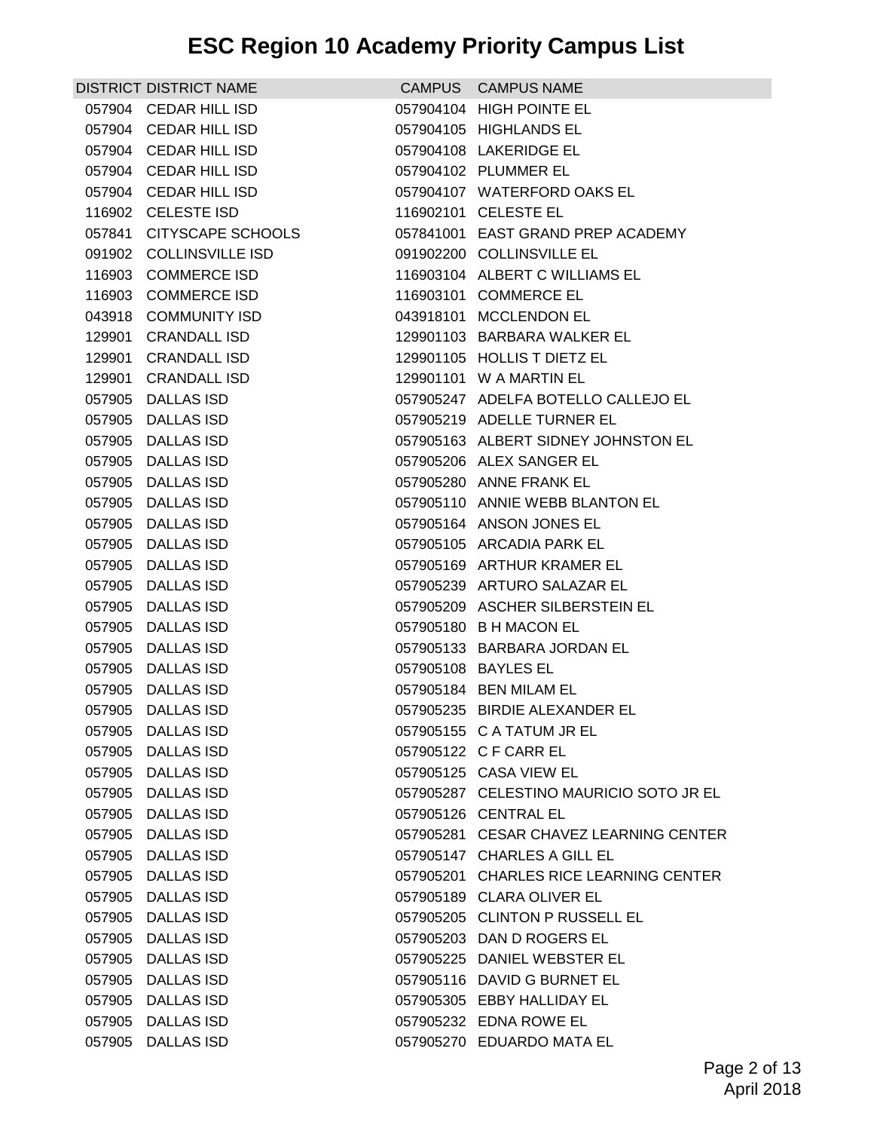| <b>DISTRICT DISTRICT NAME</b> | CAMPUS CAMPUS NAME                      |
|-------------------------------|-----------------------------------------|
| 057904 CEDAR HILL ISD         | 057904104 HIGH POINTE EL                |
| 057904 CEDAR HILL ISD         | 057904105 HIGHLANDS EL                  |
| 057904 CEDAR HILL ISD         | 057904108 LAKERIDGE EL                  |
| 057904 CEDAR HILL ISD         | 057904102 PLUMMER EL                    |
| 057904 CEDAR HILL ISD         | 057904107 WATERFORD OAKS EL             |
| 116902 CELESTE ISD            | 116902101 CELESTE EL                    |
| 057841 CITYSCAPE SCHOOLS      | 057841001 EAST GRAND PREP ACADEMY       |
| 091902 COLLINSVILLE ISD       | 091902200 COLLINSVILLE EL               |
| 116903 COMMERCE ISD           | 116903104 ALBERT C WILLIAMS EL          |
| 116903 COMMERCE ISD           | 116903101 COMMERCE EL                   |
| 043918 COMMUNITY ISD          | 043918101 MCCLENDON EL                  |
| 129901 CRANDALL ISD           | 129901103 BARBARA WALKER EL             |
| 129901 CRANDALL ISD           | 129901105 HOLLIS T DIETZ EL             |
| 129901 CRANDALL ISD           | 129901101 W A MARTIN EL                 |
| 057905 DALLAS ISD             | 057905247 ADELFA BOTELLO CALLEJO EL     |
| 057905 DALLAS ISD             | 057905219 ADELLE TURNER EL              |
| 057905 DALLAS ISD             | 057905163 ALBERT SIDNEY JOHNSTON EL     |
| 057905 DALLAS ISD             | 057905206 ALEX SANGER EL                |
| 057905 DALLAS ISD             | 057905280 ANNE FRANK EL                 |
| 057905 DALLAS ISD             | 057905110 ANNIE WEBB BLANTON EL         |
| 057905 DALLAS ISD             | 057905164 ANSON JONES EL                |
| 057905 DALLAS ISD             | 057905105 ARCADIA PARK EL               |
| 057905 DALLAS ISD             | 057905169 ARTHUR KRAMER EL              |
| 057905 DALLAS ISD             | 057905239 ARTURO SALAZAR EL             |
| 057905 DALLAS ISD             | 057905209 ASCHER SILBERSTEIN EL         |
| 057905 DALLAS ISD             | 057905180 B H MACON EL                  |
| 057905 DALLAS ISD             | 057905133 BARBARA JORDAN EL             |
| 057905 DALLAS ISD             | 057905108 BAYLES EL                     |
| 057905 DALLAS ISD             | 057905184 BEN MILAM EL                  |
| 057905 DALLAS ISD             | 057905235 BIRDIE ALEXANDER EL           |
| 057905 DALLAS ISD             | 057905155 C A TATUM JR EL               |
| 057905 DALLAS ISD             | 057905122 C F CARR EL                   |
| 057905 DALLAS ISD             | 057905125 CASA VIEW EL                  |
| 057905 DALLAS ISD             | 057905287 CELESTINO MAURICIO SOTO JR EL |
| 057905 DALLAS ISD             | 057905126 CENTRAL EL                    |
| 057905 DALLAS ISD             | 057905281 CESAR CHAVEZ LEARNING CENTER  |
| 057905 DALLAS ISD             | 057905147 CHARLES A GILL EL             |
| 057905 DALLAS ISD             | 057905201 CHARLES RICE LEARNING CENTER  |
| 057905 DALLAS ISD             | 057905189 CLARA OLIVER EL               |
| 057905 DALLAS ISD             | 057905205 CLINTON P RUSSELL EL          |
| 057905 DALLAS ISD             | 057905203 DAN D ROGERS EL               |
| 057905 DALLAS ISD             | 057905225 DANIEL WEBSTER EL             |
| 057905 DALLAS ISD             | 057905116 DAVID G BURNET EL             |
| 057905 DALLAS ISD             | 057905305 EBBY HALLIDAY EL              |
| 057905 DALLAS ISD             | 057905232 EDNA ROWE EL                  |
| 057905 DALLAS ISD             | 057905270 EDUARDO MATA EL               |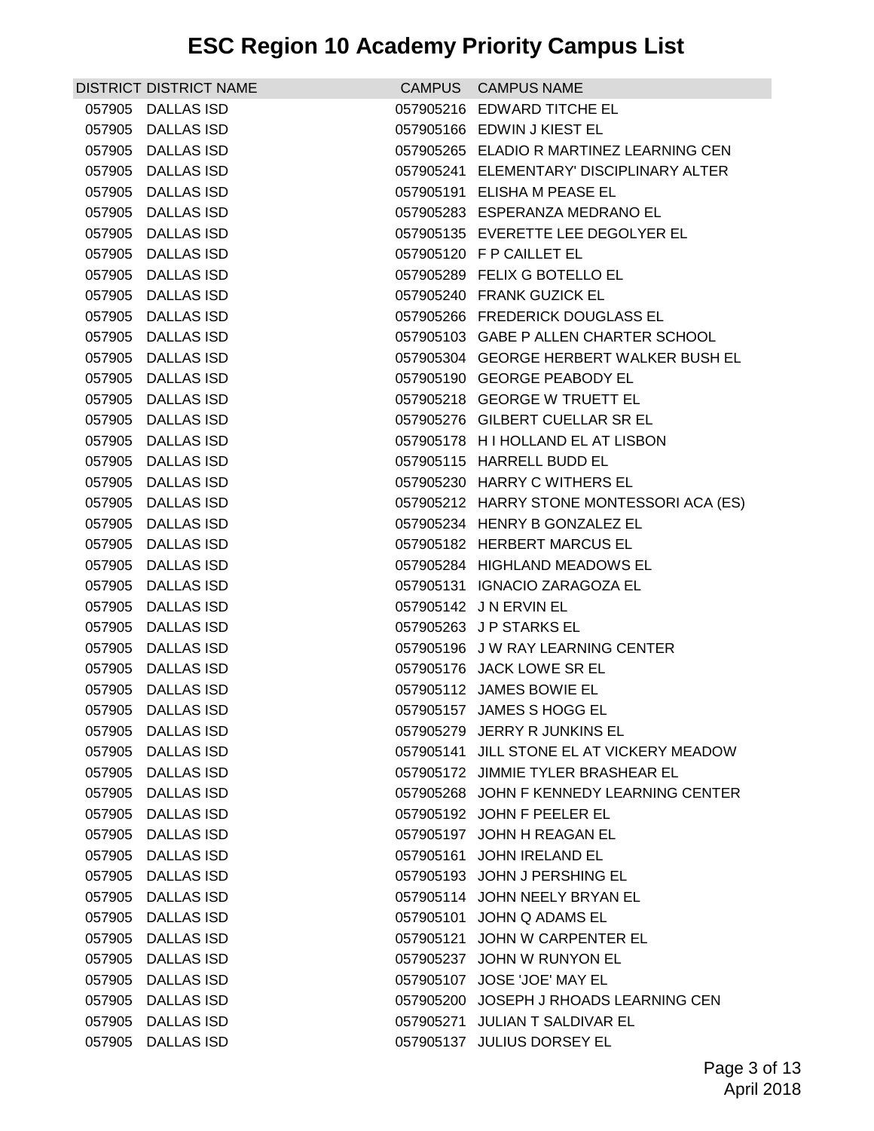| <b>DISTRICT DISTRICT NAME</b> | CAMPUS CAMPUS NAME                        |
|-------------------------------|-------------------------------------------|
| 057905 DALLAS ISD             | 057905216 EDWARD TITCHE EL                |
| 057905 DALLAS ISD             | 057905166 EDWIN J KIEST EL                |
| 057905 DALLAS ISD             | 057905265 ELADIO R MARTINEZ LEARNING CEN  |
| 057905 DALLAS ISD             | 057905241 ELEMENTARY' DISCIPLINARY ALTER  |
| 057905 DALLAS ISD             | 057905191 ELISHA M PEASE EL               |
| 057905 DALLAS ISD             | 057905283 ESPERANZA MEDRANO EL            |
| 057905 DALLAS ISD             | 057905135 EVERETTE LEE DEGOLYER EL        |
| 057905 DALLAS ISD             | 057905120 F P CAILLET EL                  |
| 057905 DALLAS ISD             | 057905289 FELIX G BOTELLO EL              |
| 057905 DALLAS ISD             | 057905240 FRANK GUZICK EL                 |
| 057905 DALLAS ISD             | 057905266 FREDERICK DOUGLASS EL           |
| 057905 DALLAS ISD             | 057905103 GABE P ALLEN CHARTER SCHOOL     |
| 057905 DALLAS ISD             | 057905304 GEORGE HERBERT WALKER BUSH EL   |
| 057905 DALLAS ISD             | 057905190 GEORGE PEABODY EL               |
| 057905 DALLAS ISD             | 057905218 GEORGE W TRUETT EL              |
| 057905 DALLAS ISD             | 057905276 GILBERT CUELLAR SR EL           |
| 057905 DALLAS ISD             | 057905178 H I HOLLAND EL AT LISBON        |
| 057905 DALLAS ISD             | 057905115 HARRELL BUDD EL                 |
| 057905 DALLAS ISD             | 057905230 HARRY C WITHERS EL              |
| 057905 DALLAS ISD             | 057905212 HARRY STONE MONTESSORI ACA (ES) |
| 057905 DALLAS ISD             | 057905234 HENRY B GONZALEZ EL             |
| 057905 DALLAS ISD             | 057905182 HERBERT MARCUS EL               |
| 057905 DALLAS ISD             | 057905284 HIGHLAND MEADOWS EL             |
| 057905 DALLAS ISD             | 057905131 IGNACIO ZARAGOZA EL             |
| 057905 DALLAS ISD             | 057905142 J N ERVIN EL                    |
| 057905 DALLAS ISD             | 057905263 J P STARKS EL                   |
| 057905 DALLAS ISD             | 057905196 J W RAY LEARNING CENTER         |
| 057905 DALLAS ISD             | 057905176 JACK LOWE SR EL                 |
| 057905 DALLAS ISD             | 057905112 JAMES BOWIE EL                  |
| 057905 DALLAS ISD             | 057905157 JAMES S HOGG EL                 |
| 057905 DALLAS ISD             | 057905279 JERRY R JUNKINS EL              |
| 057905 DALLAS ISD             | 057905141 JILL STONE EL AT VICKERY MEADOW |
| 057905 DALLAS ISD             | 057905172 JIMMIE TYLER BRASHEAR EL        |
| 057905 DALLAS ISD             | 057905268 JOHN F KENNEDY LEARNING CENTER  |
| 057905 DALLAS ISD             | 057905192 JOHN F PEELER EL                |
| 057905 DALLAS ISD             | 057905197 JOHN H REAGAN EL                |
| 057905 DALLAS ISD             | 057905161 JOHN IRELAND EL                 |
| 057905 DALLAS ISD             | 057905193 JOHN J PERSHING EL              |
| 057905 DALLAS ISD             | 057905114 JOHN NEELY BRYAN EL             |
| 057905 DALLAS ISD             | 057905101 JOHN Q ADAMS EL                 |
| 057905 DALLAS ISD             | 057905121 JOHN W CARPENTER EL             |
| 057905 DALLAS ISD             | 057905237 JOHN W RUNYON EL                |
| 057905 DALLAS ISD             | 057905107 JOSE 'JOE' MAY EL               |
| 057905 DALLAS ISD             | 057905200 JOSEPH J RHOADS LEARNING CEN    |
| 057905 DALLAS ISD             | 057905271 JULIAN T SALDIVAR EL            |
| 057905 DALLAS ISD             | 057905137 JULIUS DORSEY EL                |
|                               |                                           |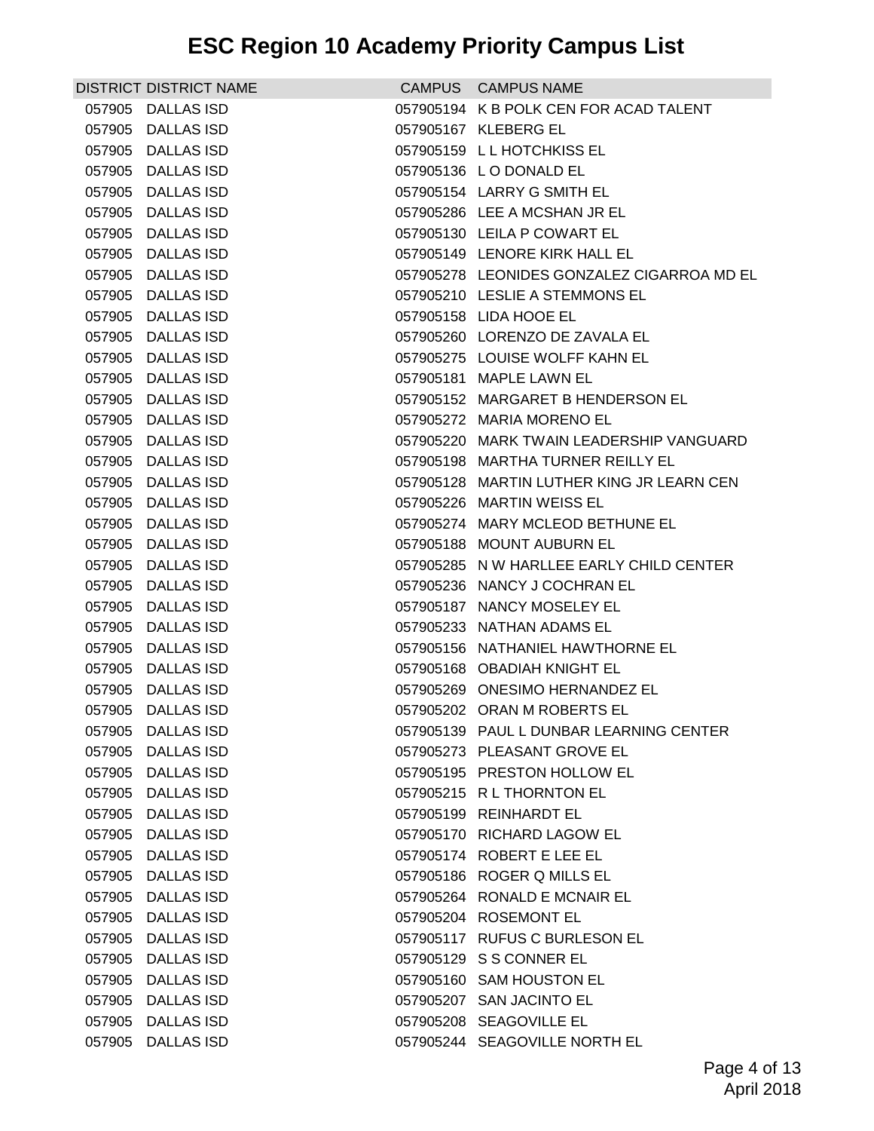|        | <b>DISTRICT DISTRICT NAME</b> | CAMPUS CAMPUS NAME                         |
|--------|-------------------------------|--------------------------------------------|
|        | 057905 DALLAS ISD             | 057905194 K B POLK CEN FOR ACAD TALENT     |
|        | 057905 DALLAS ISD             | 057905167 KLEBERG EL                       |
|        | 057905 DALLAS ISD             | 057905159 LL HOTCHKISS EL                  |
|        | 057905 DALLAS ISD             | 057905136 LO DONALD EL                     |
|        | 057905 DALLAS ISD             | 057905154 LARRY G SMITH EL                 |
|        | 057905 DALLAS ISD             | 057905286 LEE A MCSHAN JR EL               |
|        | 057905 DALLAS ISD             | 057905130 LEILA P COWART EL                |
|        | 057905 DALLAS ISD             | 057905149 LENORE KIRK HALL EL              |
|        | 057905 DALLAS ISD             | 057905278 LEONIDES GONZALEZ CIGARROA MD EL |
|        | 057905 DALLAS ISD             | 057905210 LESLIE A STEMMONS EL             |
|        | 057905 DALLAS ISD             | 057905158 LIDA HOOE EL                     |
|        | 057905 DALLAS ISD             | 057905260 LORENZO DE ZAVALA EL             |
|        | 057905 DALLAS ISD             | 057905275 LOUISE WOLFF KAHN EL             |
|        | 057905 DALLAS ISD             | 057905181 MAPLE LAWN EL                    |
|        | 057905 DALLAS ISD             | 057905152 MARGARET B HENDERSON EL          |
|        | 057905 DALLAS ISD             | 057905272 MARIA MORENO EL                  |
|        | 057905 DALLAS ISD             | 057905220 MARK TWAIN LEADERSHIP VANGUARD   |
|        | 057905 DALLAS ISD             | 057905198 MARTHA TURNER REILLY EL          |
|        | 057905 DALLAS ISD             | 057905128 MARTIN LUTHER KING JR LEARN CEN  |
|        | 057905 DALLAS ISD             | 057905226 MARTIN WEISS EL                  |
|        | 057905 DALLAS ISD             | 057905274 MARY MCLEOD BETHUNE EL           |
|        | 057905 DALLAS ISD             | 057905188 MOUNT AUBURN EL                  |
|        | 057905 DALLAS ISD             | 057905285 N W HARLLEE EARLY CHILD CENTER   |
|        | 057905 DALLAS ISD             | 057905236 NANCY J COCHRAN EL               |
|        | 057905 DALLAS ISD             | 057905187 NANCY MOSELEY EL                 |
|        | 057905 DALLAS ISD             | 057905233 NATHAN ADAMS EL                  |
|        | 057905 DALLAS ISD             | 057905156 NATHANIEL HAWTHORNE EL           |
|        | 057905 DALLAS ISD             | 057905168 OBADIAH KNIGHT EL                |
|        | 057905 DALLAS ISD             | 057905269 ONESIMO HERNANDEZ EL             |
| 057905 | <b>DALLAS ISD</b>             | 057905202 ORAN M ROBERTS EL                |
|        | 057905 DALLAS ISD             | 057905139 PAUL L DUNBAR LEARNING CENTER    |
|        | 057905 DALLAS ISD             | 057905273 PLEASANT GROVE EL                |
| 057905 | <b>DALLAS ISD</b>             | 057905195 PRESTON HOLLOW EL                |
|        | 057905 DALLAS ISD             | 057905215 RL THORNTON EL                   |
|        | 057905 DALLAS ISD             | 057905199 REINHARDT EL                     |
|        | 057905 DALLAS ISD             | 057905170 RICHARD LAGOW EL                 |
|        | 057905 DALLAS ISD             | 057905174 ROBERT E LEE EL                  |
| 057905 | <b>DALLAS ISD</b>             | 057905186 ROGER Q MILLS EL                 |
|        | 057905 DALLAS ISD             | 057905264 RONALD E MCNAIR EL               |
|        | 057905 DALLAS ISD             | 057905204 ROSEMONT EL                      |
|        | 057905 DALLAS ISD             | 057905117 RUFUS C BURLESON EL              |
| 057905 | <b>DALLAS ISD</b>             | 057905129 S S CONNER EL                    |
| 057905 | <b>DALLAS ISD</b>             | 057905160 SAM HOUSTON EL                   |
|        | 057905 DALLAS ISD             | 057905207 SAN JACINTO EL                   |
|        | 057905 DALLAS ISD             | 057905208 SEAGOVILLE EL                    |
|        | 057905 DALLAS ISD             | 057905244 SEAGOVILLE NORTH EL              |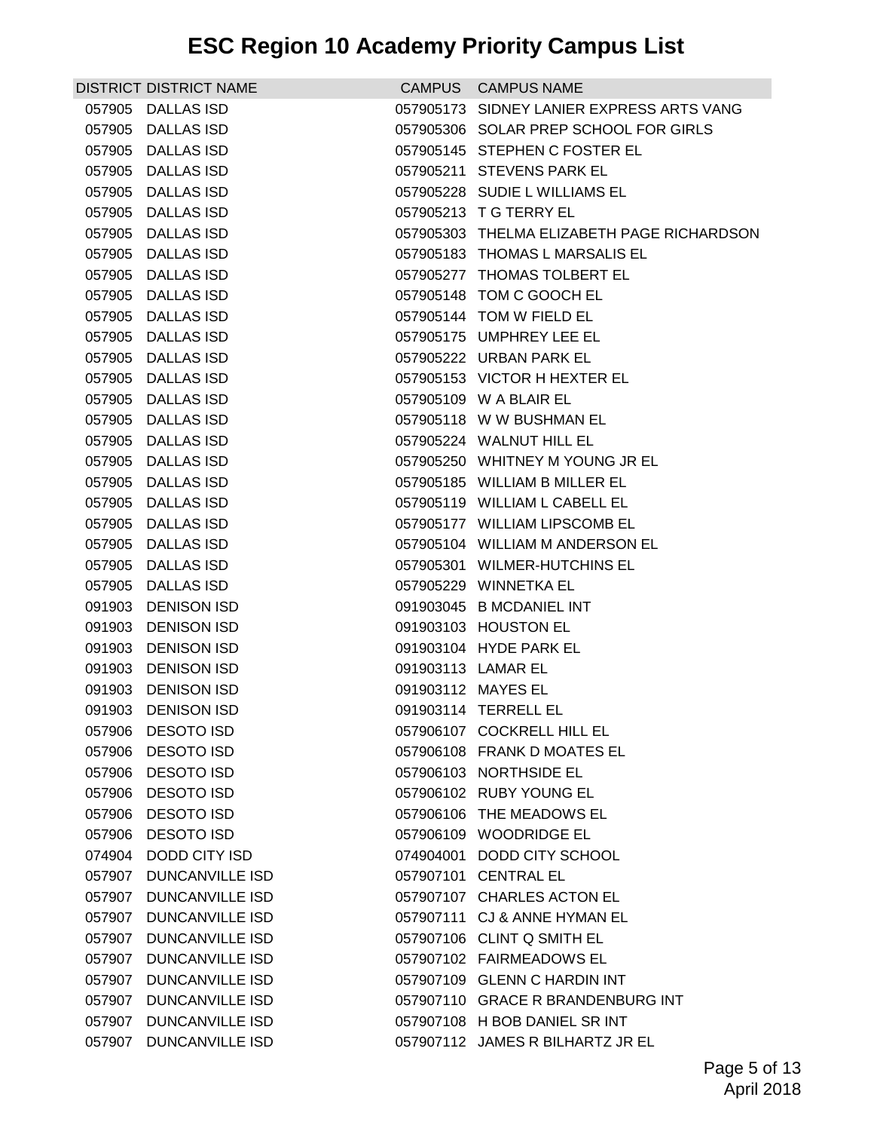|        | DISTRICT DISTRICT NAME |                    | CAMPUS CAMPUS NAME                         |
|--------|------------------------|--------------------|--------------------------------------------|
|        | 057905 DALLAS ISD      |                    | 057905173 SIDNEY LANIER EXPRESS ARTS VANG  |
|        | 057905 DALLAS ISD      |                    | 057905306 SOLAR PREP SCHOOL FOR GIRLS      |
|        | 057905 DALLAS ISD      |                    | 057905145 STEPHEN C FOSTER EL              |
|        | 057905 DALLAS ISD      |                    | 057905211 STEVENS PARK EL                  |
|        | 057905 DALLAS ISD      |                    | 057905228 SUDIE L WILLIAMS EL              |
|        | 057905 DALLAS ISD      |                    | 057905213 T G TERRY EL                     |
|        | 057905 DALLAS ISD      |                    | 057905303 THELMA ELIZABETH PAGE RICHARDSON |
|        | 057905 DALLAS ISD      |                    | 057905183 THOMAS L MARSALIS EL             |
|        | 057905 DALLAS ISD      |                    | 057905277 THOMAS TOLBERT EL                |
|        | 057905 DALLAS ISD      |                    | 057905148 TOM C GOOCH EL                   |
|        | 057905 DALLAS ISD      |                    | 057905144 TOM W FIELD EL                   |
|        | 057905 DALLAS ISD      |                    | 057905175 UMPHREY LEE EL                   |
|        | 057905 DALLAS ISD      |                    | 057905222 URBAN PARK EL                    |
|        | 057905 DALLAS ISD      |                    | 057905153 VICTOR H HEXTER EL               |
|        | 057905 DALLAS ISD      |                    | 057905109 W A BLAIR EL                     |
|        | 057905 DALLAS ISD      |                    | 057905118 W W BUSHMAN EL                   |
|        | 057905 DALLAS ISD      |                    | 057905224 WALNUT HILL EL                   |
|        | 057905 DALLAS ISD      |                    | 057905250 WHITNEY M YOUNG JR EL            |
|        | 057905 DALLAS ISD      |                    | 057905185 WILLIAM B MILLER EL              |
|        | 057905 DALLAS ISD      |                    | 057905119 WILLIAM L CABELL EL              |
|        | 057905 DALLAS ISD      |                    | 057905177 WILLIAM LIPSCOMB EL              |
|        | 057905 DALLAS ISD      |                    | 057905104 WILLIAM M ANDERSON EL            |
|        | 057905 DALLAS ISD      |                    | 057905301 WILMER-HUTCHINS EL               |
|        | 057905 DALLAS ISD      |                    | 057905229 WINNETKA EL                      |
|        | 091903 DENISON ISD     |                    | 091903045 B MCDANIEL INT                   |
|        | 091903 DENISON ISD     |                    | 091903103 HOUSTON EL                       |
|        | 091903 DENISON ISD     |                    | 091903104 HYDE PARK EL                     |
|        | 091903 DENISON ISD     | 091903113 LAMAR EL |                                            |
|        | 091903 DENISON ISD     | 091903112 MAYES EL |                                            |
|        | 091903 DENISON ISD     |                    | 091903114 TERRELL EL                       |
|        | 057906 DESOTO ISD      |                    | 057906107 COCKRELL HILL EL                 |
|        | 057906 DESOTO ISD      |                    | 057906108 FRANK D MOATES EL                |
|        | 057906 DESOTO ISD      |                    | 057906103 NORTHSIDE EL                     |
|        | 057906 DESOTO ISD      |                    | 057906102 RUBY YOUNG EL                    |
|        | 057906 DESOTO ISD      |                    | 057906106 THE MEADOWS EL                   |
|        | 057906 DESOTO ISD      |                    | 057906109 WOODRIDGE EL                     |
|        | 074904 DODD CITY ISD   |                    | 074904001 DODD CITY SCHOOL                 |
| 057907 | <b>DUNCANVILLE ISD</b> |                    | 057907101 CENTRAL EL                       |
|        | 057907 DUNCANVILLE ISD |                    | 057907107 CHARLES ACTON EL                 |
|        | 057907 DUNCANVILLE ISD |                    | 057907111 CJ & ANNE HYMAN EL               |
|        | 057907 DUNCANVILLE ISD |                    | 057907106 CLINT Q SMITH EL                 |
|        | 057907 DUNCANVILLE ISD |                    | 057907102 FAIRMEADOWS EL                   |
| 057907 | <b>DUNCANVILLE ISD</b> |                    | 057907109 GLENN C HARDIN INT               |
|        | 057907 DUNCANVILLE ISD |                    | 057907110 GRACE R BRANDENBURG INT          |
|        | 057907 DUNCANVILLE ISD |                    | 057907108 H BOB DANIEL SR INT              |
|        | 057907 DUNCANVILLE ISD |                    | 057907112 JAMES R BILHARTZ JR EL           |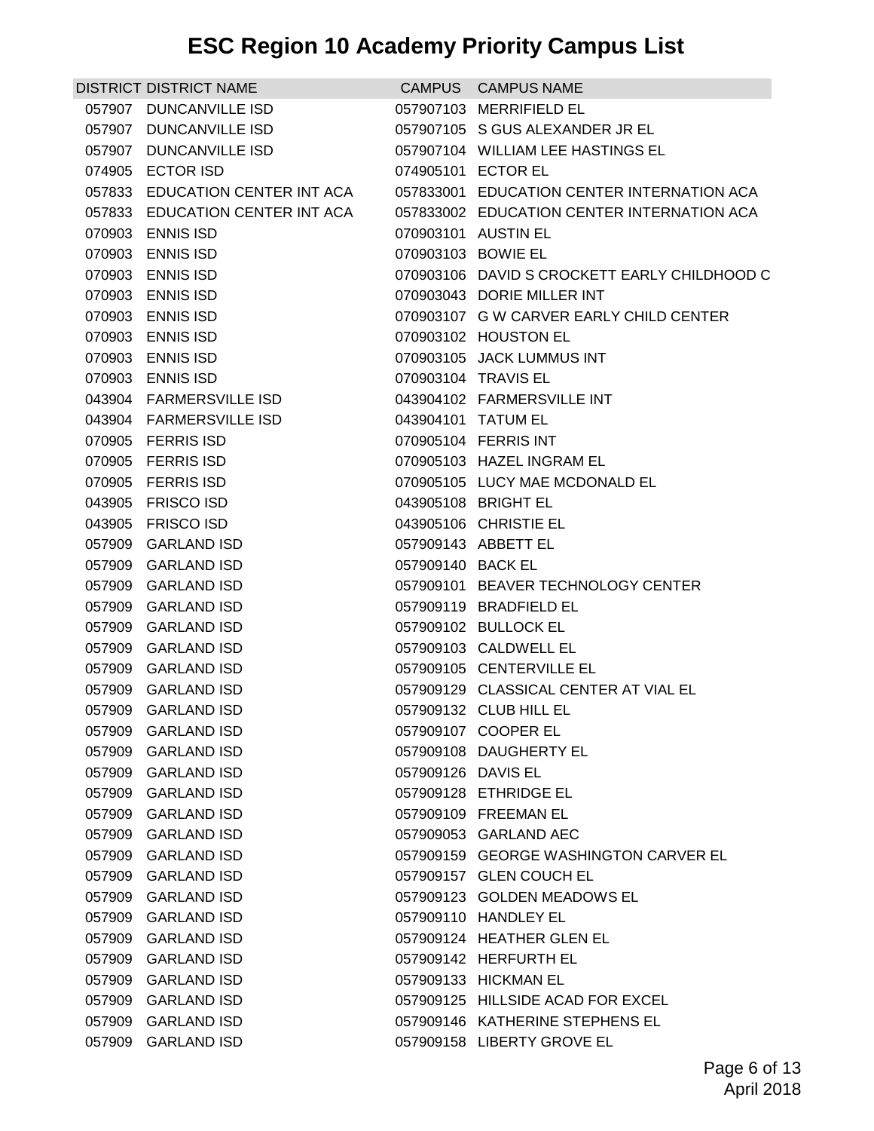| <b>DISTRICT DISTRICT NAME</b>   |                    | CAMPUS CAMPUS NAME                           |
|---------------------------------|--------------------|----------------------------------------------|
| 057907 DUNCANVILLE ISD          |                    | 057907103 MERRIFIELD EL                      |
| 057907 DUNCANVILLE ISD          |                    | 057907105 S GUS ALEXANDER JR EL              |
| 057907 DUNCANVILLE ISD          |                    | 057907104 WILLIAM LEE HASTINGS EL            |
| 074905 ECTOR ISD                |                    | 074905101 ECTOR EL                           |
| 057833 EDUCATION CENTER INT ACA |                    | 057833001 EDUCATION CENTER INTERNATION ACA   |
| 057833 EDUCATION CENTER INT ACA |                    | 057833002 EDUCATION CENTER INTERNATION ACA   |
| 070903 ENNIS ISD                |                    | 070903101 AUSTIN EL                          |
| 070903 ENNIS ISD                |                    | 070903103 BOWIE EL                           |
| 070903 ENNIS ISD                |                    | 070903106 DAVID S CROCKETT EARLY CHILDHOOD C |
| 070903 ENNIS ISD                |                    | 070903043 DORIE MILLER INT                   |
| 070903 ENNIS ISD                |                    | 070903107 G W CARVER EARLY CHILD CENTER      |
| 070903 ENNIS ISD                |                    | 070903102 HOUSTON EL                         |
| 070903 ENNIS ISD                |                    | 070903105 JACK LUMMUS INT                    |
| 070903 ENNIS ISD                |                    | 070903104 TRAVIS EL                          |
| 043904 FARMERSVILLE ISD         |                    | 043904102 FARMERSVILLE INT                   |
| 043904 FARMERSVILLE ISD         |                    | 043904101 TATUM EL                           |
| 070905 FERRIS ISD               |                    | 070905104 FERRIS INT                         |
| 070905 FERRIS ISD               |                    | 070905103 HAZEL INGRAM EL                    |
| 070905 FERRIS ISD               |                    | 070905105 LUCY MAE MCDONALD EL               |
| 043905 FRISCO ISD               |                    | 043905108 BRIGHT EL                          |
| 043905 FRISCO ISD               |                    | 043905106 CHRISTIE EL                        |
| 057909 GARLAND ISD              |                    | 057909143 ABBETT EL                          |
| 057909 GARLAND ISD              | 057909140 BACK EL  |                                              |
| 057909 GARLAND ISD              |                    | 057909101 BEAVER TECHNOLOGY CENTER           |
| 057909 GARLAND ISD              |                    | 057909119 BRADFIELD EL                       |
| 057909 GARLAND ISD              |                    | 057909102 BULLOCK EL                         |
| 057909 GARLAND ISD              |                    | 057909103 CALDWELL EL                        |
| 057909 GARLAND ISD              |                    | 057909105 CENTERVILLE EL                     |
| 057909 GARLAND ISD              |                    | 057909129 CLASSICAL CENTER AT VIAL EL        |
| 057909 GARLAND ISD              |                    | 057909132 CLUB HILL EL                       |
| 057909 GARLAND ISD              |                    | 057909107 COOPER EL                          |
| 057909 GARLAND ISD              |                    | 057909108 DAUGHERTY EL                       |
| 057909 GARLAND ISD              | 057909126 DAVIS EL |                                              |
| 057909 GARLAND ISD              |                    | 057909128 ETHRIDGE EL                        |
| 057909 GARLAND ISD              |                    | 057909109 FREEMAN EL                         |
| 057909 GARLAND ISD              |                    | 057909053 GARLAND AEC                        |
| 057909 GARLAND ISD              |                    | 057909159 GEORGE WASHINGTON CARVER EL        |
| 057909 GARLAND ISD              |                    | 057909157 GLEN COUCH EL                      |
| 057909 GARLAND ISD              |                    | 057909123 GOLDEN MEADOWS EL                  |
| 057909 GARLAND ISD              |                    | 057909110 HANDLEY EL                         |
| 057909 GARLAND ISD              |                    | 057909124 HEATHER GLEN EL                    |
| 057909 GARLAND ISD              |                    | 057909142 HERFURTH EL                        |
| 057909 GARLAND ISD              |                    | 057909133 HICKMAN EL                         |
| 057909 GARLAND ISD              |                    | 057909125 HILLSIDE ACAD FOR EXCEL            |
| 057909 GARLAND ISD              |                    | 057909146 KATHERINE STEPHENS EL              |
| 057909 GARLAND ISD              |                    | 057909158 LIBERTY GROVE EL                   |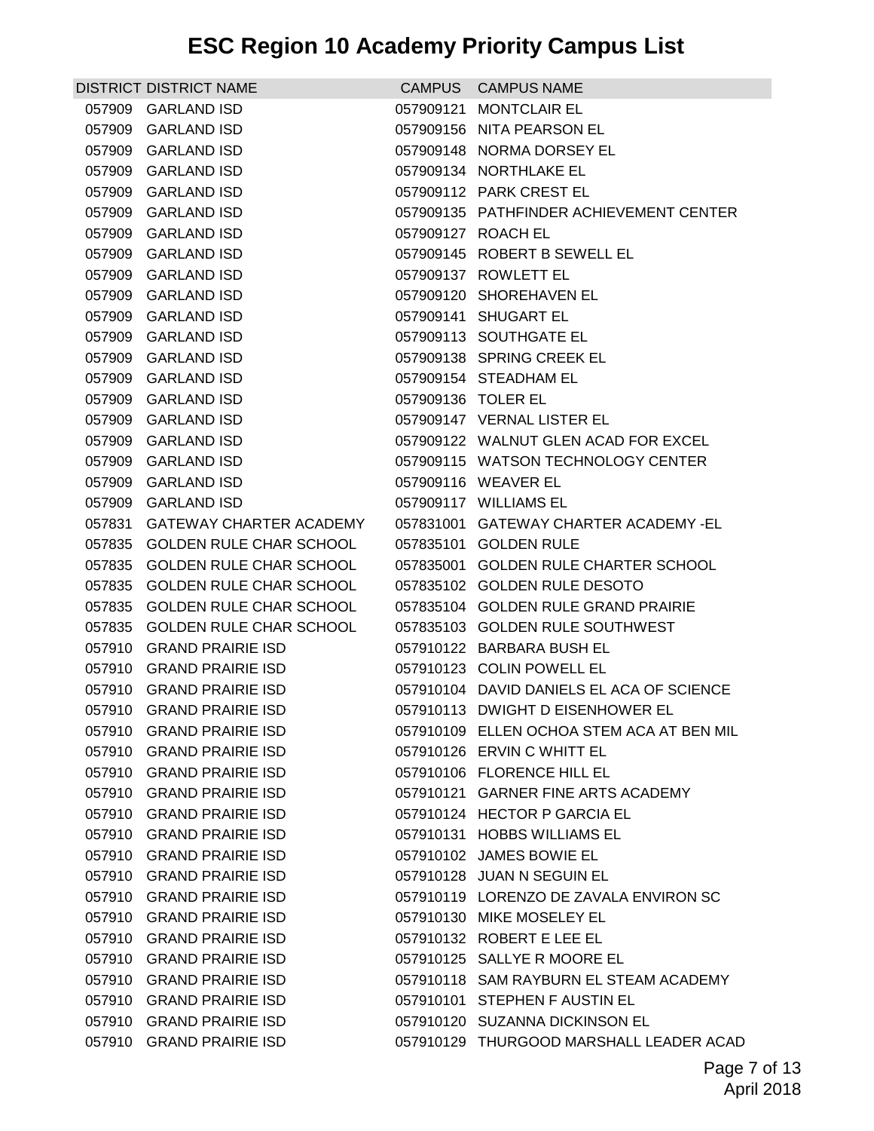| <b>DISTRICT DISTRICT NAME</b>            |                    | CAMPUS CAMPUS NAME                                             |
|------------------------------------------|--------------------|----------------------------------------------------------------|
| 057909 GARLAND ISD                       |                    | 057909121 MONTCLAIR EL                                         |
| 057909 GARLAND ISD                       |                    | 057909156 NITA PEARSON EL                                      |
| 057909 GARLAND ISD                       |                    | 057909148 NORMA DORSEY EL                                      |
| 057909 GARLAND ISD                       |                    | 057909134 NORTHLAKE EL                                         |
| 057909 GARLAND ISD                       |                    | 057909112 PARK CREST EL                                        |
| 057909 GARLAND ISD                       |                    | 057909135 PATHFINDER ACHIEVEMENT CENTER                        |
| 057909 GARLAND ISD                       |                    | 057909127 ROACH EL                                             |
| 057909 GARLAND ISD                       |                    | 057909145 ROBERT B SEWELL EL                                   |
| 057909 GARLAND ISD                       |                    | 057909137 ROWLETT EL                                           |
| 057909 GARLAND ISD                       |                    | 057909120 SHOREHAVEN EL                                        |
| 057909 GARLAND ISD                       |                    | 057909141 SHUGART EL                                           |
| 057909 GARLAND ISD                       |                    | 057909113 SOUTHGATE EL                                         |
| 057909 GARLAND ISD                       |                    | 057909138 SPRING CREEK EL                                      |
| 057909 GARLAND ISD                       |                    | 057909154 STEADHAM EL                                          |
| 057909 GARLAND ISD                       | 057909136 TOLER EL |                                                                |
| 057909 GARLAND ISD                       |                    | 057909147 VERNAL LISTER EL                                     |
| 057909 GARLAND ISD                       |                    | 057909122 WALNUT GLEN ACAD FOR EXCEL                           |
| 057909 GARLAND ISD                       |                    | 057909115 WATSON TECHNOLOGY CENTER                             |
| 057909 GARLAND ISD<br>057909 GARLAND ISD |                    | 057909116 WEAVER EL                                            |
| 057831 GATEWAY CHARTER ACADEMY           |                    | 057909117 WILLIAMS EL<br>057831001 GATEWAY CHARTER ACADEMY -EL |
| 057835 GOLDEN RULE CHAR SCHOOL           |                    | 057835101 GOLDEN RULE                                          |
| 057835 GOLDEN RULE CHAR SCHOOL           |                    | 057835001 GOLDEN RULE CHARTER SCHOOL                           |
| 057835 GOLDEN RULE CHAR SCHOOL           |                    | 057835102 GOLDEN RULE DESOTO                                   |
| 057835 GOLDEN RULE CHAR SCHOOL           |                    | 057835104 GOLDEN RULE GRAND PRAIRIE                            |
| 057835 GOLDEN RULE CHAR SCHOOL           |                    | 057835103 GOLDEN RULE SOUTHWEST                                |
| 057910 GRAND PRAIRIE ISD                 |                    | 057910122 BARBARA BUSH EL                                      |
| 057910 GRAND PRAIRIE ISD                 |                    | 057910123 COLIN POWELL EL                                      |
| 057910 GRAND PRAIRIE ISD                 |                    | 057910104 DAVID DANIELS EL ACA OF SCIENCE                      |
| 057910 GRAND PRAIRIE ISD                 |                    | 057910113 DWIGHT D EISENHOWER EL                               |
| 057910 GRAND PRAIRIE ISD                 |                    | 057910109 ELLEN OCHOA STEM ACA AT BEN MIL                      |
| 057910 GRAND PRAIRIE ISD                 |                    | 057910126 ERVIN C WHITT EL                                     |
| 057910 GRAND PRAIRIE ISD                 |                    | 057910106 FLORENCE HILL EL                                     |
| 057910 GRAND PRAIRIE ISD                 |                    | 057910121 GARNER FINE ARTS ACADEMY                             |
| 057910 GRAND PRAIRIE ISD                 |                    | 057910124 HECTOR P GARCIA EL                                   |
| 057910 GRAND PRAIRIE ISD                 |                    | 057910131 HOBBS WILLIAMS EL                                    |
| 057910 GRAND PRAIRIE ISD                 |                    | 057910102 JAMES BOWIE EL                                       |
| 057910 GRAND PRAIRIE ISD                 |                    | 057910128 JUAN N SEGUIN EL                                     |
| 057910 GRAND PRAIRIE ISD                 |                    | 057910119 LORENZO DE ZAVALA ENVIRON SC                         |
| 057910 GRAND PRAIRIE ISD                 |                    | 057910130 MIKE MOSELEY EL                                      |
| 057910 GRAND PRAIRIE ISD                 |                    | 057910132 ROBERT E LEE EL                                      |
| 057910 GRAND PRAIRIE ISD                 |                    | 057910125 SALLYE R MOORE EL                                    |
| 057910 GRAND PRAIRIE ISD                 |                    | 057910118 SAM RAYBURN EL STEAM ACADEMY                         |
| 057910 GRAND PRAIRIE ISD                 |                    | 057910101 STEPHEN F AUSTIN EL                                  |
| 057910 GRAND PRAIRIE ISD                 |                    | 057910120 SUZANNA DICKINSON EL                                 |
| 057910 GRAND PRAIRIE ISD                 |                    | 057910129 THURGOOD MARSHALL LEADER ACAD                        |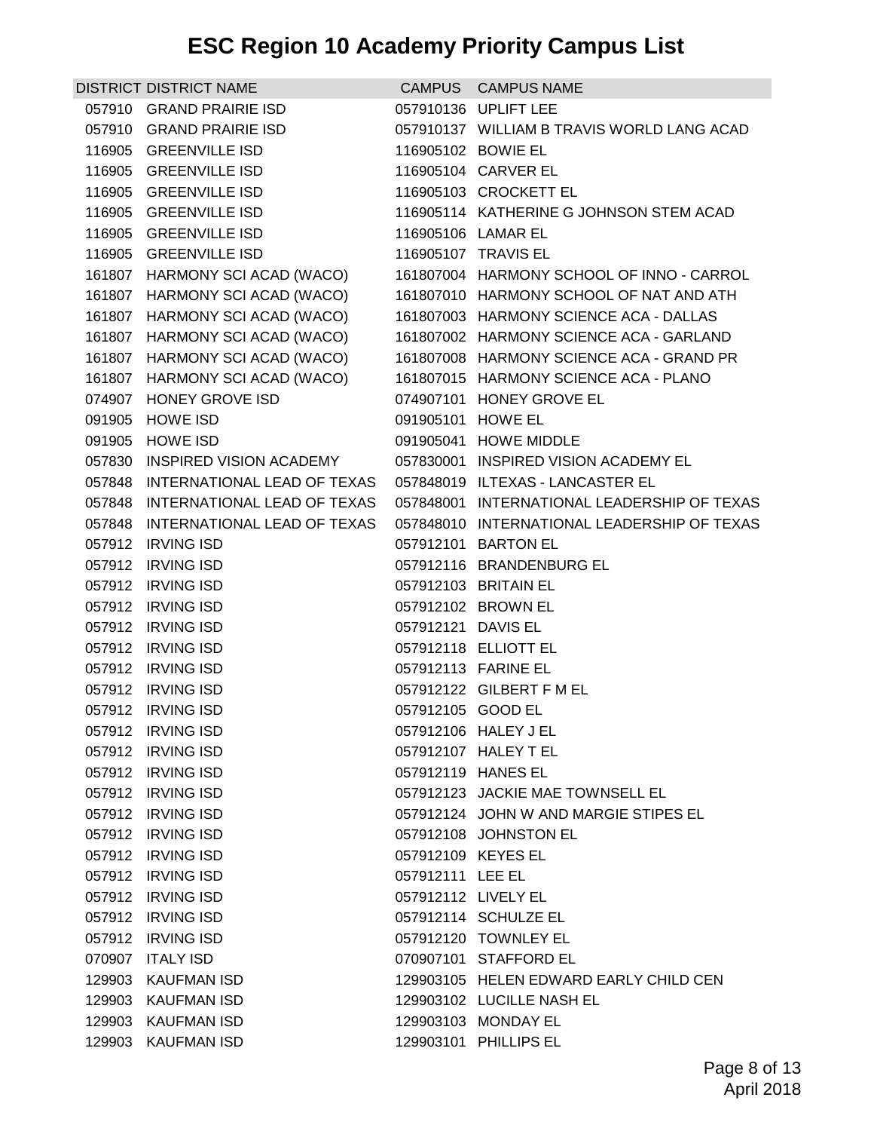| <b>DISTRICT DISTRICT NAME</b>      |                     | CAMPUS CAMPUS NAME                          |
|------------------------------------|---------------------|---------------------------------------------|
| 057910 GRAND PRAIRIE ISD           |                     | 057910136 UPLIFT LEE                        |
| 057910 GRAND PRAIRIE ISD           |                     | 057910137 WILLIAM B TRAVIS WORLD LANG ACAD  |
| 116905 GREENVILLE ISD              |                     | 116905102 BOWIE EL                          |
| 116905 GREENVILLE ISD              |                     | 116905104 CARVER EL                         |
| 116905 GREENVILLE ISD              |                     | 116905103 CROCKETT EL                       |
| 116905 GREENVILLE ISD              |                     | 116905114 KATHERINE G JOHNSON STEM ACAD     |
| 116905 GREENVILLE ISD              |                     | 116905106 LAMAR EL                          |
| 116905 GREENVILLE ISD              |                     | 116905107 TRAVIS EL                         |
| 161807 HARMONY SCI ACAD (WACO)     |                     | 161807004 HARMONY SCHOOL OF INNO - CARROL   |
| 161807 HARMONY SCI ACAD (WACO)     |                     | 161807010 HARMONY SCHOOL OF NAT AND ATH     |
| 161807 HARMONY SCI ACAD (WACO)     |                     | 161807003 HARMONY SCIENCE ACA - DALLAS      |
| 161807 HARMONY SCI ACAD (WACO)     |                     | 161807002 HARMONY SCIENCE ACA - GARLAND     |
| 161807 HARMONY SCI ACAD (WACO)     |                     | 161807008 HARMONY SCIENCE ACA - GRAND PR    |
| 161807 HARMONY SCI ACAD (WACO)     |                     | 161807015 HARMONY SCIENCE ACA - PLANO       |
| 074907 HONEY GROVE ISD             |                     | 074907101 HONEY GROVE EL                    |
| 091905 HOWE ISD                    | 091905101 HOWE EL   |                                             |
| 091905 HOWE ISD                    |                     | 091905041 HOWE MIDDLE                       |
| 057830 INSPIRED VISION ACADEMY     |                     | 057830001 INSPIRED VISION ACADEMY EL        |
| 057848 INTERNATIONAL LEAD OF TEXAS |                     | 057848019 ILTEXAS - LANCASTER EL            |
| 057848 INTERNATIONAL LEAD OF TEXAS |                     | 057848001 INTERNATIONAL LEADERSHIP OF TEXAS |
| 057848 INTERNATIONAL LEAD OF TEXAS |                     | 057848010 INTERNATIONAL LEADERSHIP OF TEXAS |
| 057912 IRVING ISD                  |                     | 057912101 BARTON EL                         |
| 057912 IRVING ISD                  |                     | 057912116 BRANDENBURG EL                    |
| 057912 IRVING ISD                  |                     | 057912103 BRITAIN EL                        |
| 057912 IRVING ISD                  |                     | 057912102 BROWN EL                          |
| 057912 IRVING ISD                  | 057912121 DAVIS EL  |                                             |
| 057912 IRVING ISD                  |                     | 057912118 ELLIOTT EL                        |
| 057912 IRVING ISD                  |                     | 057912113 FARINE EL                         |
| 057912 IRVING ISD                  |                     | 057912122 GILBERT F M EL                    |
| 057912 IRVING ISD                  | 057912105 GOOD EL   |                                             |
| 057912 IRVING ISD                  |                     | 057912106 HALEY J EL                        |
| 057912 IRVING ISD                  |                     | 057912107 HALEY T EL                        |
| 057912 IRVING ISD                  |                     | 057912119 HANES EL                          |
| 057912 IRVING ISD                  |                     | 057912123 JACKIE MAE TOWNSELL EL            |
| 057912 IRVING ISD                  |                     | 057912124 JOHN W AND MARGIE STIPES EL       |
| 057912 IRVING ISD                  |                     | 057912108 JOHNSTON EL                       |
| 057912 IRVING ISD                  | 057912109 KEYES EL  |                                             |
| 057912 IRVING ISD                  | 057912111 LEE EL    |                                             |
| 057912 IRVING ISD                  | 057912112 LIVELY EL |                                             |
| 057912 IRVING ISD                  |                     | 057912114 SCHULZE EL                        |
| 057912 IRVING ISD                  |                     | 057912120 TOWNLEY EL                        |
| 070907 ITALY ISD                   |                     | 070907101 STAFFORD EL                       |
| 129903 KAUFMAN ISD                 |                     | 129903105 HELEN EDWARD EARLY CHILD CEN      |
| 129903 KAUFMAN ISD                 |                     | 129903102 LUCILLE NASH EL                   |
| 129903 KAUFMAN ISD                 |                     | 129903103 MONDAY EL                         |
| 129903 KAUFMAN ISD                 |                     | 129903101 PHILLIPS EL                       |
|                                    |                     |                                             |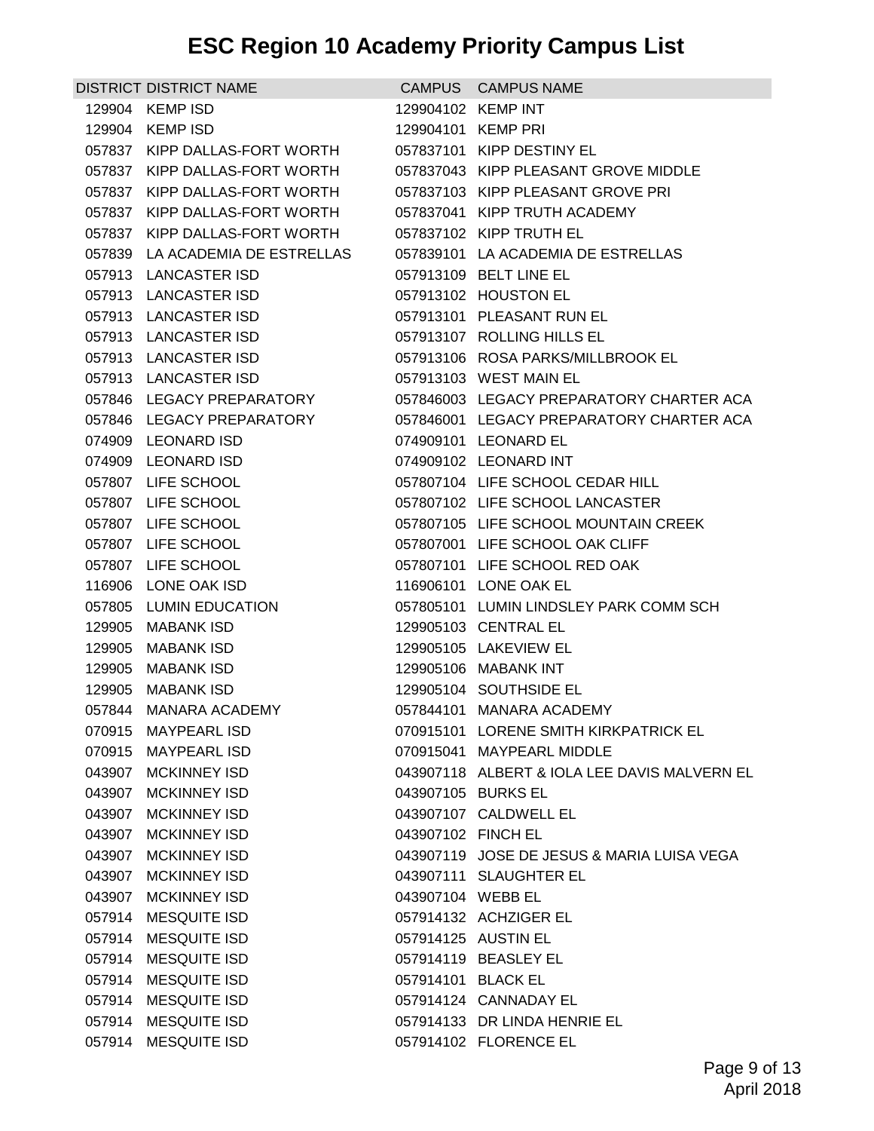| <b>DISTRICT DISTRICT NAME</b>   |                    | CAMPUS CAMPUS NAME                           |
|---------------------------------|--------------------|----------------------------------------------|
| 129904 KEMP ISD                 | 129904102 KEMP INT |                                              |
| 129904 KEMP ISD                 | 129904101 KEMP PRI |                                              |
| 057837 KIPP DALLAS-FORT WORTH   |                    | 057837101 KIPP DESTINY EL                    |
| 057837 KIPP DALLAS-FORT WORTH   |                    | 057837043 KIPP PLEASANT GROVE MIDDLE         |
| 057837 KIPP DALLAS-FORT WORTH   |                    | 057837103 KIPP PLEASANT GROVE PRI            |
| 057837 KIPP DALLAS-FORT WORTH   |                    | 057837041 KIPP TRUTH ACADEMY                 |
| 057837 KIPP DALLAS-FORT WORTH   |                    | 057837102 KIPP TRUTH EL                      |
| 057839 LA ACADEMIA DE ESTRELLAS |                    | 057839101 LA ACADEMIA DE ESTRELLAS           |
| 057913 LANCASTER ISD            |                    | 057913109 BELT LINE EL                       |
| 057913 LANCASTER ISD            |                    | 057913102 HOUSTON EL                         |
| 057913 LANCASTER ISD            |                    | 057913101 PLEASANT RUN EL                    |
| 057913 LANCASTER ISD            |                    | 057913107 ROLLING HILLS EL                   |
| 057913 LANCASTER ISD            |                    | 057913106 ROSA PARKS/MILLBROOK EL            |
| 057913 LANCASTER ISD            |                    | 057913103 WEST MAIN EL                       |
| 057846 LEGACY PREPARATORY       |                    | 057846003 LEGACY PREPARATORY CHARTER ACA     |
| 057846 LEGACY PREPARATORY       |                    | 057846001 LEGACY PREPARATORY CHARTER ACA     |
| 074909 LEONARD ISD              |                    | 074909101 LEONARD EL                         |
| 074909 LEONARD ISD              |                    | 074909102 LEONARD INT                        |
| 057807 LIFE SCHOOL              |                    | 057807104 LIFE SCHOOL CEDAR HILL             |
| 057807 LIFE SCHOOL              |                    | 057807102 LIFE SCHOOL LANCASTER              |
| 057807 LIFE SCHOOL              |                    | 057807105 LIFE SCHOOL MOUNTAIN CREEK         |
| 057807 LIFE SCHOOL              |                    | 057807001 LIFE SCHOOL OAK CLIFF              |
| 057807 LIFE SCHOOL              |                    | 057807101 LIFE SCHOOL RED OAK                |
| 116906 LONE OAK ISD             |                    | 116906101 LONE OAK EL                        |
| 057805 LUMIN EDUCATION          |                    | 057805101 LUMIN LINDSLEY PARK COMM SCH       |
| 129905 MABANK ISD               |                    | 129905103 CENTRAL EL                         |
| 129905 MABANK ISD               |                    | 129905105 LAKEVIEW EL                        |
| 129905 MABANK ISD               |                    | 129905106 MABANK INT                         |
| 129905 MABANK ISD               |                    | 129905104 SOUTHSIDE EL                       |
| 057844 MANARA ACADEMY           |                    | 057844101 MANARA ACADEMY                     |
| 070915 MAYPEARL ISD             |                    | 070915101 LORENE SMITH KIRKPATRICK EL        |
| 070915 MAYPEARL ISD             |                    | 070915041 MAYPEARL MIDDLE                    |
| 043907 MCKINNEY ISD             |                    | 043907118 ALBERT & IOLA LEE DAVIS MALVERN EL |
| 043907 MCKINNEY ISD             | 043907105 BURKS EL |                                              |
| 043907 MCKINNEY ISD             |                    | 043907107 CALDWELL EL                        |
| 043907 MCKINNEY ISD             | 043907102 FINCH EL |                                              |
| 043907 MCKINNEY ISD             |                    | 043907119 JOSE DE JESUS & MARIA LUISA VEGA   |
| 043907 MCKINNEY ISD             |                    | 043907111 SLAUGHTER EL                       |
| 043907 MCKINNEY ISD             | 043907104 WEBB EL  |                                              |
| 057914 MESQUITE ISD             |                    | 057914132 ACHZIGER EL                        |
| 057914 MESQUITE ISD             |                    | 057914125 AUSTIN EL                          |
| 057914 MESQUITE ISD             |                    | 057914119 BEASLEY EL                         |
| 057914 MESQUITE ISD             | 057914101 BLACK EL |                                              |
| 057914 MESQUITE ISD             |                    | 057914124 CANNADAY EL                        |
| 057914 MESQUITE ISD             |                    | 057914133 DR LINDA HENRIE EL                 |
| 057914 MESQUITE ISD             |                    | 057914102 FLORENCE EL                        |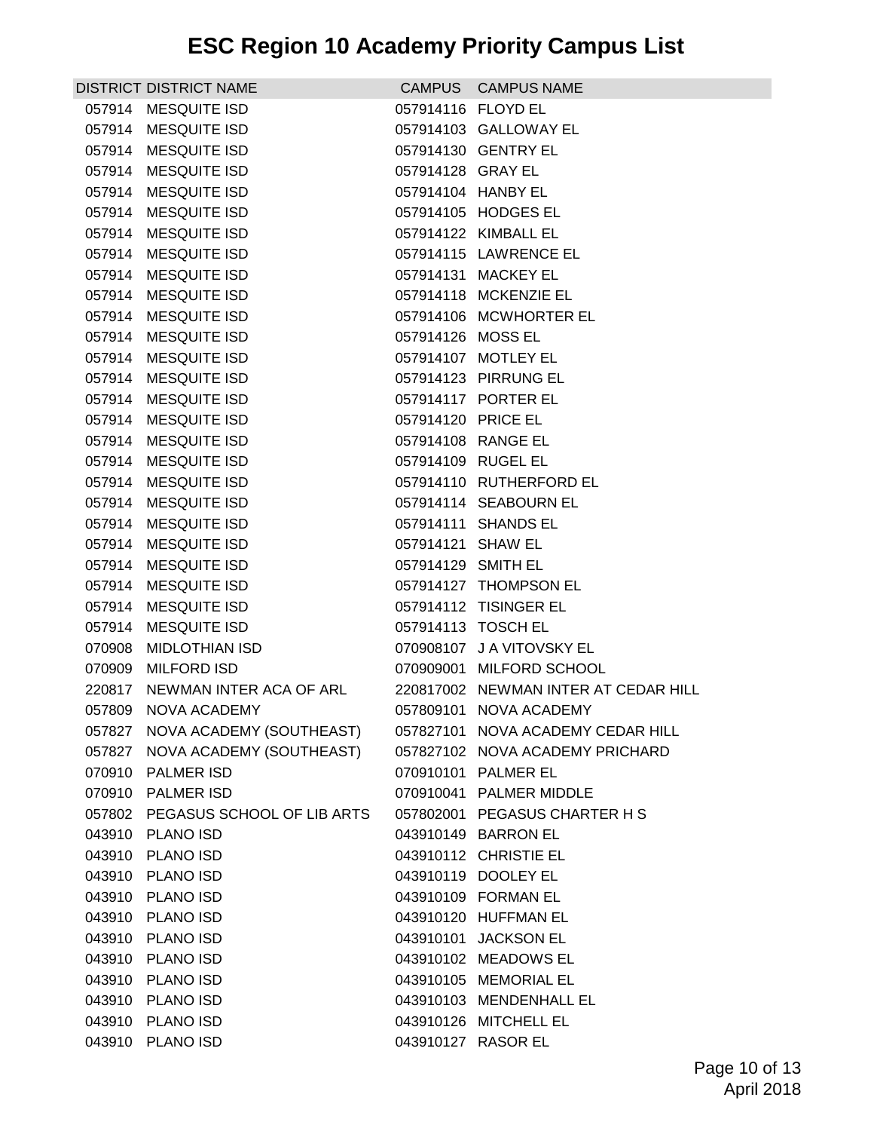|  | DISTRICT DISTRICT NAME                               |                    | CAMPUS CAMPUS NAME                                     |
|--|------------------------------------------------------|--------------------|--------------------------------------------------------|
|  | 057914 MESQUITE ISD                                  | 057914116 FLOYD EL |                                                        |
|  | 057914 MESQUITE ISD                                  |                    | 057914103 GALLOWAY EL                                  |
|  | 057914 MESQUITE ISD                                  |                    | 057914130 GENTRY EL                                    |
|  | 057914 MESQUITE ISD                                  | 057914128 GRAY EL  |                                                        |
|  | 057914 MESQUITE ISD                                  | 057914104 HANBY EL |                                                        |
|  | 057914 MESQUITE ISD                                  |                    | 057914105 HODGES EL                                    |
|  | 057914 MESQUITE ISD                                  |                    | 057914122 KIMBALL EL                                   |
|  | 057914 MESQUITE ISD                                  |                    | 057914115 LAWRENCE EL                                  |
|  | 057914 MESQUITE ISD                                  |                    | 057914131 MACKEY EL                                    |
|  | 057914 MESQUITE ISD                                  |                    | 057914118 MCKENZIE EL                                  |
|  | 057914 MESQUITE ISD                                  |                    | 057914106 MCWHORTER EL                                 |
|  | 057914 MESQUITE ISD                                  | 057914126 MOSS EL  |                                                        |
|  | 057914 MESQUITE ISD                                  |                    | 057914107 MOTLEY EL                                    |
|  | 057914 MESQUITE ISD                                  |                    | 057914123 PIRRUNG EL                                   |
|  | 057914 MESQUITE ISD                                  |                    | 057914117 PORTER EL                                    |
|  | 057914 MESQUITE ISD                                  | 057914120 PRICE EL |                                                        |
|  | 057914 MESQUITE ISD                                  |                    | 057914108 RANGE EL                                     |
|  | 057914 MESQUITE ISD                                  | 057914109 RUGEL EL |                                                        |
|  | 057914 MESQUITE ISD                                  |                    | 057914110 RUTHERFORD EL                                |
|  | 057914 MESQUITE ISD                                  |                    | 057914114 SEABOURN EL                                  |
|  | 057914 MESQUITE ISD                                  |                    | 057914111 SHANDS EL                                    |
|  | 057914 MESQUITE ISD                                  | 057914121 SHAW EL  |                                                        |
|  | 057914 MESQUITE ISD                                  | 057914129 SMITH EL |                                                        |
|  | 057914 MESQUITE ISD                                  |                    | 057914127 THOMPSON EL                                  |
|  | 057914 MESQUITE ISD                                  |                    | 057914112 TISINGER EL                                  |
|  | 057914 MESQUITE ISD                                  | 057914113 TOSCH EL |                                                        |
|  | 070908 MIDLOTHIAN ISD                                |                    | 070908107 J A VITOVSKY EL                              |
|  | 070909 MILFORD ISD                                   |                    | 070909001 MILFORD SCHOOL                               |
|  | 220817 NEWMAN INTER ACA OF ARL                       |                    | 220817002 NEWMAN INTER AT CEDAR HILL                   |
|  | 057809 NOVA ACADEMY                                  |                    | 057809101 NOVA ACADEMY                                 |
|  | 057827 NOVA ACADEMY (SOUTHEAST)                      |                    | 057827101 NOVA ACADEMY CEDAR HILL                      |
|  | 057827 NOVA ACADEMY (SOUTHEAST)<br>070910 PALMER ISD |                    | 057827102 NOVA ACADEMY PRICHARD<br>070910101 PALMER EL |
|  | 070910 PALMER ISD                                    |                    | 070910041 PALMER MIDDLE                                |
|  | 057802 PEGASUS SCHOOL OF LIB ARTS                    |                    | 057802001 PEGASUS CHARTER H S                          |
|  | 043910 PLANO ISD                                     |                    | 043910149 BARRON EL                                    |
|  | 043910 PLANO ISD                                     |                    | 043910112 CHRISTIE EL                                  |
|  | 043910 PLANO ISD                                     |                    | 043910119 DOOLEY EL                                    |
|  | 043910 PLANO ISD                                     |                    | 043910109 FORMAN EL                                    |
|  | 043910 PLANO ISD                                     |                    | 043910120 HUFFMAN EL                                   |
|  | 043910 PLANO ISD                                     |                    | 043910101 JACKSON EL                                   |
|  | 043910 PLANO ISD                                     |                    | 043910102 MEADOWS EL                                   |
|  | 043910 PLANO ISD                                     |                    | 043910105 MEMORIAL EL                                  |
|  | 043910 PLANO ISD                                     |                    | 043910103 MENDENHALL EL                                |
|  | 043910 PLANO ISD                                     |                    | 043910126 MITCHELL EL                                  |
|  | 043910 PLANO ISD                                     | 043910127 RASOR EL |                                                        |
|  |                                                      |                    |                                                        |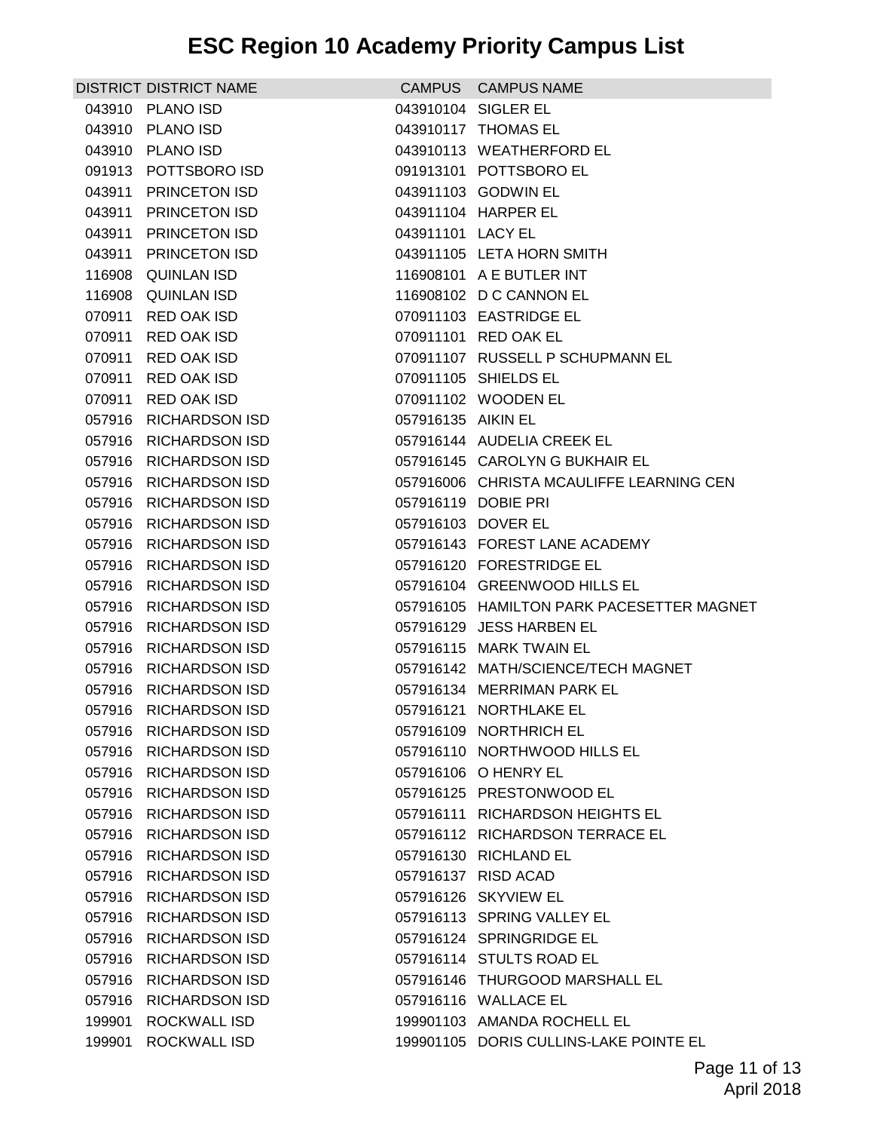|        | DISTRICT DISTRICT NAME |                     | CAMPUS CAMPUS NAME                        |
|--------|------------------------|---------------------|-------------------------------------------|
|        | 043910 PLANO ISD       |                     | 043910104 SIGLER EL                       |
|        | 043910 PLANO ISD       |                     | 043910117 THOMAS EL                       |
|        | 043910 PLANO ISD       |                     | 043910113 WEATHERFORD EL                  |
|        | 091913 POTTSBORO ISD   |                     | 091913101 POTTSBORO EL                    |
|        | 043911 PRINCETON ISD   |                     | 043911103 GODWIN EL                       |
|        | 043911 PRINCETON ISD   |                     | 043911104 HARPER EL                       |
|        | 043911 PRINCETON ISD   | 043911101 LACY EL   |                                           |
|        | 043911 PRINCETON ISD   |                     | 043911105 LETA HORN SMITH                 |
|        | 116908 QUINLAN ISD     |                     | 116908101 A E BUTLER INT                  |
|        | 116908 QUINLAN ISD     |                     | 116908102 D C CANNON EL                   |
|        | 070911 RED OAK ISD     |                     | 070911103 EASTRIDGE EL                    |
|        | 070911 RED OAK ISD     |                     | 070911101 RED OAK EL                      |
|        | 070911 RED OAK ISD     |                     | 070911107 RUSSELL P SCHUPMANN EL          |
|        | 070911 RED OAK ISD     |                     | 070911105 SHIELDS EL                      |
|        | 070911 RED OAK ISD     |                     | 070911102 WOODEN EL                       |
|        | 057916 RICHARDSON ISD  | 057916135 AIKIN EL  |                                           |
|        | 057916 RICHARDSON ISD  |                     | 057916144 AUDELIA CREEK EL                |
|        | 057916 RICHARDSON ISD  |                     | 057916145 CAROLYN G BUKHAIR EL            |
|        | 057916 RICHARDSON ISD  |                     | 057916006 CHRISTA MCAULIFFE LEARNING CEN  |
|        | 057916 RICHARDSON ISD  | 057916119 DOBIE PRI |                                           |
|        | 057916 RICHARDSON ISD  | 057916103 DOVER EL  |                                           |
|        | 057916 RICHARDSON ISD  |                     | 057916143 FOREST LANE ACADEMY             |
|        | 057916 RICHARDSON ISD  |                     | 057916120 FORESTRIDGE EL                  |
|        | 057916 RICHARDSON ISD  |                     | 057916104 GREENWOOD HILLS EL              |
|        | 057916 RICHARDSON ISD  |                     | 057916105 HAMILTON PARK PACESETTER MAGNET |
|        | 057916 RICHARDSON ISD  |                     | 057916129 JESS HARBEN EL                  |
|        | 057916 RICHARDSON ISD  |                     | 057916115 MARK TWAIN EL                   |
|        | 057916 RICHARDSON ISD  |                     | 057916142 MATH/SCIENCE/TECH MAGNET        |
|        | 057916 RICHARDSON ISD  |                     | 057916134 MERRIMAN PARK EL                |
|        | 057916 RICHARDSON ISD  |                     | 057916121 NORTHLAKE EL                    |
|        | 057916 RICHARDSON ISD  |                     | 057916109 NORTHRICH EL                    |
|        | 057916 RICHARDSON ISD  |                     | 057916110 NORTHWOOD HILLS EL              |
|        | 057916 RICHARDSON ISD  |                     | 057916106 O HENRY EL                      |
|        | 057916 RICHARDSON ISD  |                     | 057916125 PRESTONWOOD EL                  |
|        | 057916 RICHARDSON ISD  |                     | 057916111 RICHARDSON HEIGHTS EL           |
|        | 057916 RICHARDSON ISD  |                     | 057916112 RICHARDSON TERRACE EL           |
| 057916 | <b>RICHARDSON ISD</b>  |                     | 057916130 RICHLAND EL                     |
|        | 057916 RICHARDSON ISD  |                     | 057916137 RISD ACAD                       |
|        | 057916 RICHARDSON ISD  |                     | 057916126 SKYVIEW EL                      |
|        | 057916 RICHARDSON ISD  |                     | 057916113 SPRING VALLEY EL                |
|        | 057916 RICHARDSON ISD  |                     | 057916124 SPRINGRIDGE EL                  |
| 057916 | <b>RICHARDSON ISD</b>  |                     | 057916114 STULTS ROAD EL                  |
|        | 057916 RICHARDSON ISD  |                     | 057916146 THURGOOD MARSHALL EL            |
| 057916 | <b>RICHARDSON ISD</b>  |                     | 057916116 WALLACE EL                      |
|        | 199901 ROCKWALL ISD    |                     | 199901103 AMANDA ROCHELL EL               |
| 199901 | ROCKWALL ISD           |                     | 199901105 DORIS CULLINS-LAKE POINTE EL    |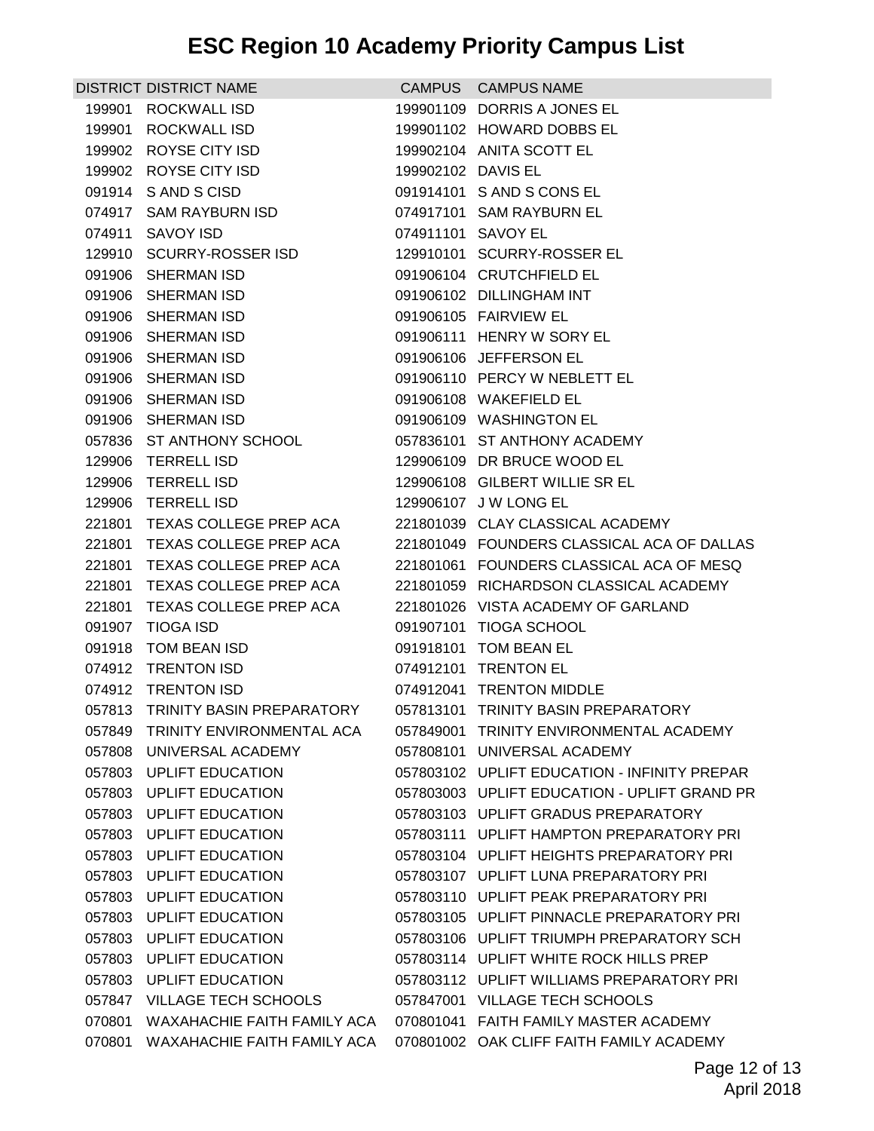|        | <b>DISTRICT DISTRICT NAME</b>                      |                    | CAMPUS CAMPUS NAME                                                                   |
|--------|----------------------------------------------------|--------------------|--------------------------------------------------------------------------------------|
|        | 199901 ROCKWALL ISD                                |                    | 199901109 DORRIS A JONES EL                                                          |
|        | 199901 ROCKWALL ISD                                |                    | 199901102 HOWARD DOBBS EL                                                            |
|        | 199902 ROYSE CITY ISD                              |                    | 199902104 ANITA SCOTT EL                                                             |
|        | 199902 ROYSE CITY ISD                              | 199902102 DAVIS EL |                                                                                      |
|        | 091914 S AND S CISD                                |                    | 091914101 S AND S CONS EL                                                            |
|        | 074917 SAM RAYBURN ISD                             |                    | 074917101 SAM RAYBURN EL                                                             |
|        | 074911 SAVOY ISD                                   | 074911101 SAVOY EL |                                                                                      |
|        | 129910 SCURRY-ROSSER ISD                           |                    | 129910101 SCURRY-ROSSER EL                                                           |
|        | 091906 SHERMAN ISD                                 |                    | 091906104 CRUTCHFIELD EL                                                             |
|        | 091906 SHERMAN ISD                                 |                    | 091906102 DILLINGHAM INT                                                             |
|        | 091906 SHERMAN ISD                                 |                    | 091906105 FAIRVIEW EL                                                                |
|        | 091906 SHERMAN ISD                                 |                    | 091906111 HENRY W SORY EL                                                            |
|        | 091906 SHERMAN ISD                                 |                    | 091906106 JEFFERSON EL                                                               |
|        | 091906 SHERMAN ISD                                 |                    | 091906110 PERCY W NEBLETT EL                                                         |
|        | 091906 SHERMAN ISD                                 |                    | 091906108 WAKEFIELD EL                                                               |
|        | 091906 SHERMAN ISD                                 |                    | 091906109 WASHINGTON EL                                                              |
|        | 057836 ST ANTHONY SCHOOL                           |                    | 057836101 ST ANTHONY ACADEMY                                                         |
|        | 129906 TERRELL ISD                                 |                    | 129906109 DR BRUCE WOOD EL                                                           |
|        | 129906 TERRELL ISD                                 |                    | 129906108 GILBERT WILLIE SR EL                                                       |
|        | 129906 TERRELL ISD                                 |                    | 129906107 J W LONG EL                                                                |
|        | 221801 TEXAS COLLEGE PREP ACA                      |                    | 221801039 CLAY CLASSICAL ACADEMY                                                     |
|        | 221801 TEXAS COLLEGE PREP ACA                      |                    | 221801049 FOUNDERS CLASSICAL ACA OF DALLAS                                           |
|        | 221801 TEXAS COLLEGE PREP ACA                      |                    | 221801061 FOUNDERS CLASSICAL ACA OF MESQ                                             |
|        | 221801 TEXAS COLLEGE PREP ACA                      |                    | 221801059 RICHARDSON CLASSICAL ACADEMY                                               |
|        | 221801 TEXAS COLLEGE PREP ACA                      |                    | 221801026 VISTA ACADEMY OF GARLAND                                                   |
|        | 091907 TIOGA ISD                                   |                    | 091907101 TIOGA SCHOOL                                                               |
|        | 091918 TOM BEAN ISD                                |                    | 091918101 TOM BEAN EL                                                                |
|        | 074912 TRENTON ISD                                 |                    | 074912101 TRENTON EL                                                                 |
|        | 074912 TRENTON ISD                                 |                    | 074912041 TRENTON MIDDLE                                                             |
|        | 057813 TRINITY BASIN PREPARATORY                   |                    | 057813101 TRINITY BASIN PREPARATORY                                                  |
|        | 057849 TRINITY ENVIRONMENTAL ACA                   |                    | 057849001 TRINITY ENVIRONMENTAL ACADEMY                                              |
| 057808 | UNIVERSAL ACADEMY                                  |                    | 057808101 UNIVERSAL ACADEMY                                                          |
|        | 057803 UPLIFT EDUCATION                            |                    | 057803102 UPLIFT EDUCATION - INFINITY PREPAR                                         |
|        | 057803 UPLIFT EDUCATION                            |                    | 057803003 UPLIFT EDUCATION - UPLIFT GRAND PR                                         |
|        | 057803 UPLIFT EDUCATION                            |                    | 057803103 UPLIFT GRADUS PREPARATORY                                                  |
|        | 057803 UPLIFT EDUCATION<br><b>UPLIFT EDUCATION</b> |                    | 057803111 UPLIFT HAMPTON PREPARATORY PRI<br>057803104 UPLIFT HEIGHTS PREPARATORY PRI |
| 057803 |                                                    |                    |                                                                                      |
|        | 057803 UPLIFT EDUCATION<br>057803 UPLIFT EDUCATION |                    | 057803107 UPLIFT LUNA PREPARATORY PRI<br>057803110 UPLIFT PEAK PREPARATORY PRI       |
|        |                                                    |                    | 057803105 UPLIFT PINNACLE PREPARATORY PRI                                            |
|        | 057803 UPLIFT EDUCATION                            |                    |                                                                                      |
|        | 057803 UPLIFT EDUCATION                            |                    | 057803106 UPLIFT TRIUMPH PREPARATORY SCH                                             |
| 057803 | <b>UPLIFT EDUCATION</b>                            |                    | 057803114 UPLIFT WHITE ROCK HILLS PREP                                               |
| 057803 | UPLIFT EDUCATION                                   |                    | 057803112 UPLIFT WILLIAMS PREPARATORY PRI                                            |
| 057847 | <b>VILLAGE TECH SCHOOLS</b>                        |                    | 057847001 VILLAGE TECH SCHOOLS                                                       |
|        | 070801 WAXAHACHIE FAITH FAMILY ACA                 |                    | 070801041 FAITH FAMILY MASTER ACADEMY                                                |
|        | 070801 WAXAHACHIE FAITH FAMILY ACA                 |                    | 070801002 OAK CLIFF FAITH FAMILY ACADEMY                                             |